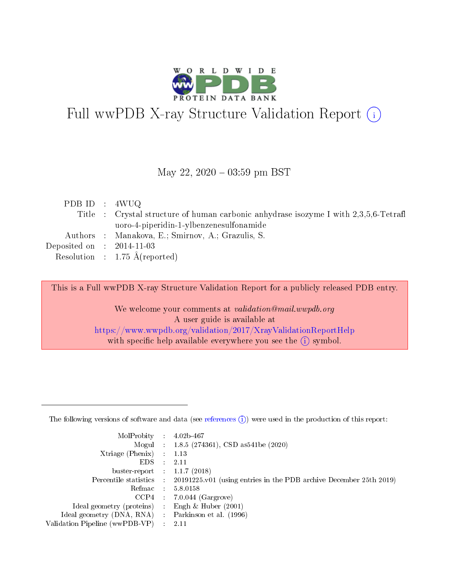

# Full wwPDB X-ray Structure Validation Report (i)

#### May 22,  $2020 - 03:59$  pm BST

| PDB ID : $4WUQ$             |                                                                                      |
|-----------------------------|--------------------------------------------------------------------------------------|
|                             | Title : Crystal structure of human carbonic anhydrase isozyme I with 2,3,5,6-Tetrafl |
|                             | uoro-4-piperidin-1-ylbenzenesulfonamide                                              |
|                             | Authors : Manakova, E.; Smirnov, A.; Grazulis, S.                                    |
| Deposited on : $2014-11-03$ |                                                                                      |
|                             | Resolution : $1.75 \text{ Å}$ (reported)                                             |

This is a Full wwPDB X-ray Structure Validation Report for a publicly released PDB entry.

We welcome your comments at validation@mail.wwpdb.org A user guide is available at <https://www.wwpdb.org/validation/2017/XrayValidationReportHelp> with specific help available everywhere you see the  $(i)$  symbol.

The following versions of software and data (see [references](https://www.wwpdb.org/validation/2017/XrayValidationReportHelp#references)  $(1)$ ) were used in the production of this report:

| MolProbity                     | $\mathcal{L}_{\rm{max}}$ | $4.02b - 467$                                                                |
|--------------------------------|--------------------------|------------------------------------------------------------------------------|
|                                |                          | Mogul : $1.8.5$ (274361), CSD as 541be (2020)                                |
| $X$ triage (Phenix) :          |                          | 1.13                                                                         |
| EDS.                           |                          | 2.11                                                                         |
| buster-report : $1.1.7$ (2018) |                          |                                                                              |
| Percentile statistics :        |                          | $20191225 \text{ v}01$ (using entries in the PDB archive December 25th 2019) |
| Refmac                         |                          | 5.8.0158                                                                     |
| $CCP4$ :                       |                          | $7.0.044$ (Gargrove)                                                         |
| Ideal geometry (proteins) :    |                          | Engh $\&$ Huber (2001)                                                       |
| Ideal geometry (DNA, RNA) :    |                          | Parkinson et al. (1996)                                                      |
| Validation Pipeline (wwPDB-VP) | $\mathcal{L}$            | -2.11                                                                        |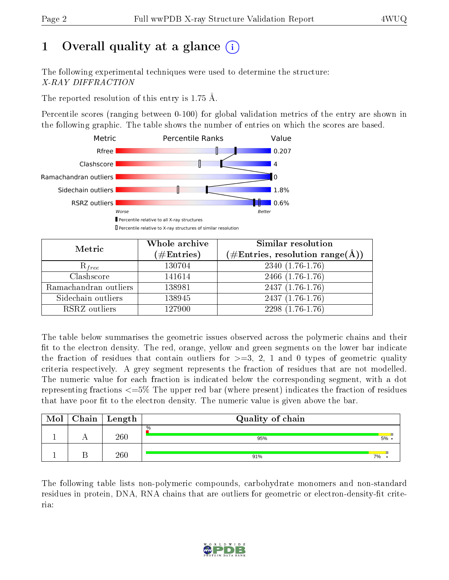# 1 [O](https://www.wwpdb.org/validation/2017/XrayValidationReportHelp#overall_quality)verall quality at a glance  $(i)$

The following experimental techniques were used to determine the structure: X-RAY DIFFRACTION

The reported resolution of this entry is 1.75 Å.

Percentile scores (ranging between 0-100) for global validation metrics of the entry are shown in the following graphic. The table shows the number of entries on which the scores are based.



| Metric                | Whole archive<br>$(\#\mathrm{Entries})$ | Similar resolution<br>$(\#\text{Entries}, \text{resolution range}(\text{\AA}))$ |
|-----------------------|-----------------------------------------|---------------------------------------------------------------------------------|
| $R_{free}$            | 130704                                  | $2340(1.76-1.76)$                                                               |
| Clashscore            | 141614                                  | 2466 (1.76-1.76)                                                                |
| Ramachandran outliers | 138981                                  | $2437(1.76-1.76)$                                                               |
| Sidechain outliers    | 138945                                  | $2437(1.76-1.76)$                                                               |
| RSRZ outliers         | 127900                                  | $2298(1.76-1.76)$                                                               |

The table below summarises the geometric issues observed across the polymeric chains and their fit to the electron density. The red, orange, yellow and green segments on the lower bar indicate the fraction of residues that contain outliers for  $>=3, 2, 1$  and 0 types of geometric quality criteria respectively. A grey segment represents the fraction of residues that are not modelled. The numeric value for each fraction is indicated below the corresponding segment, with a dot representing fractions <=5% The upper red bar (where present) indicates the fraction of residues that have poor fit to the electron density. The numeric value is given above the bar.

| Mol | $Chain$ Length | Quality of chain |    |
|-----|----------------|------------------|----|
|     | $260\,$        | $\%$<br>95%      | 5% |
|     | $260\,$        | 91%              | 7% |

The following table lists non-polymeric compounds, carbohydrate monomers and non-standard residues in protein, DNA, RNA chains that are outliers for geometric or electron-density-fit criteria:

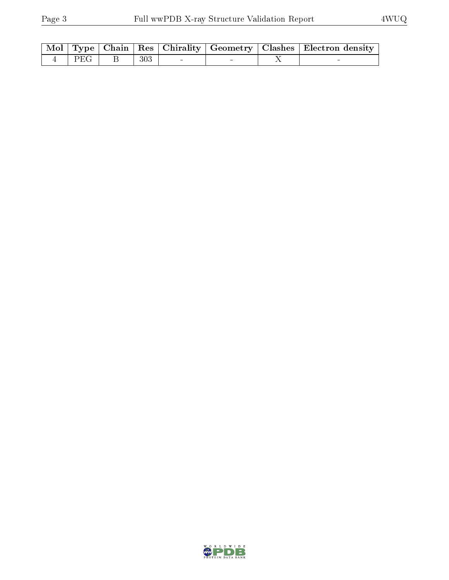|  |                                     |  |  | $\mid$ Mol $\mid$ Type $\mid$ Chain $\mid$ Res $\mid$ Chirality $\mid$ Geometry $\mid$ Clashes $\mid$ Electron density $\mid$ |
|--|-------------------------------------|--|--|-------------------------------------------------------------------------------------------------------------------------------|
|  | $4 \mid PEG \mid B \mid 303 \mid -$ |  |  |                                                                                                                               |

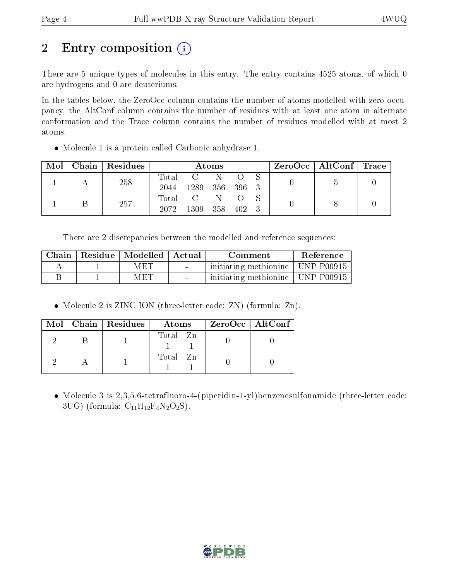# 2 Entry composition  $\left( \cdot \right)$

There are 5 unique types of molecules in this entry. The entry contains 4525 atoms, of which 0 are hydrogens and 0 are deuteriums.

In the tables below, the ZeroOcc column contains the number of atoms modelled with zero occupancy, the AltConf column contains the number of residues with at least one atom in alternate conformation and the Trace column contains the number of residues modelled with at most 2 atoms.

Molecule 1 is a protein called Carbonic anhydrase 1.

| Mol | $Chain   Residues$ |       |      | Atoms     |           |  | $\rm ZeroOcc$   AltConf   Trace |  |
|-----|--------------------|-------|------|-----------|-----------|--|---------------------------------|--|
|     | 258                | Total |      |           |           |  |                                 |  |
|     |                    | 2044  | 1289 | 356 396 3 |           |  |                                 |  |
|     | 257                | Total |      | N.        |           |  |                                 |  |
|     |                    | 2072  | 1309 | 358       | $402 - 3$ |  |                                 |  |

There are 2 discrepancies between the modelled and reference sequences:

| Chain | Residue   Modelled   Actual |        | Comment                            | Reference |
|-------|-----------------------------|--------|------------------------------------|-----------|
|       | MET                         | $\sim$ | initiating methionine   UNP P00915 |           |
|       | MET                         |        | initiating methionine   UNP P00915 |           |

• Molecule 2 is ZINC ION (three-letter code: ZN) (formula: Zn).

|  | Mol   Chain   Residues | Atoms    | ZeroOcc   AltConf |
|--|------------------------|----------|-------------------|
|  |                        | Total Zn |                   |
|  |                        | Total Zn |                   |

 Molecule 3 is 2,3,5,6-tetrafluoro-4-(piperidin-1-yl)benzenesulfonamide (three-letter code: 3UG) (formula:  $C_{11}H_{12}F_4N_2O_2S$ ).

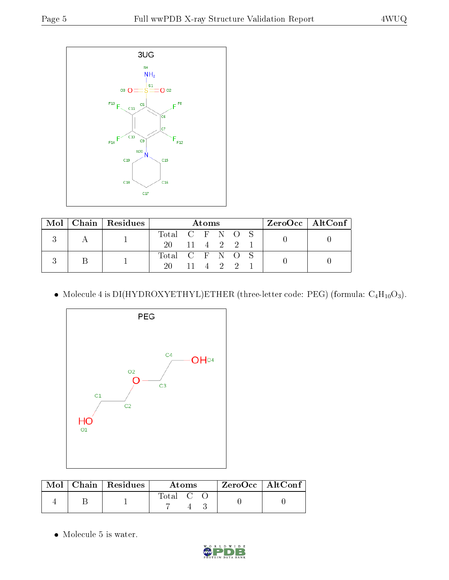

|  | $Mol$   Chain   Residues | Atoms           |                                      |  |  | ZeroOcc   AltConf |  |  |
|--|--------------------------|-----------------|--------------------------------------|--|--|-------------------|--|--|
|  |                          | Total C F N O S |                                      |  |  |                   |  |  |
|  |                          | 20 11 4 2 2 1   |                                      |  |  |                   |  |  |
|  |                          | Total C F N O S |                                      |  |  |                   |  |  |
|  |                          | 20 -            | $11 \quad 4 \quad 2 \quad 2 \quad 1$ |  |  |                   |  |  |

• Molecule 4 is DI(HYDROXYETHYL)ETHER (three-letter code: PEG) (formula:  $C_4H_{10}O_3$ ).



|  | $Mol$   Chain   Residues | <b>Atoms</b> |  | $ZeroOcc \   \$ AltConf |
|--|--------------------------|--------------|--|-------------------------|
|  |                          | Total C      |  |                         |

• Molecule 5 is water.

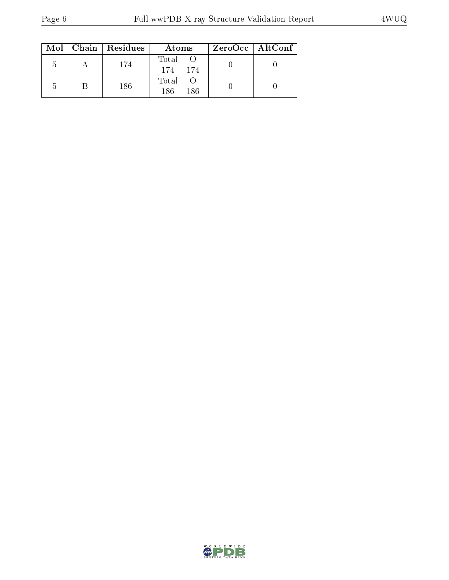|    | $Mol$   Chain   Residues | Atoms                | $ZeroOcc \   \ AltConf$ |  |
|----|--------------------------|----------------------|-------------------------|--|
| .5 | 174                      | Total<br>174<br>-174 |                         |  |
| b  | 186                      | Total<br>186<br>186  |                         |  |

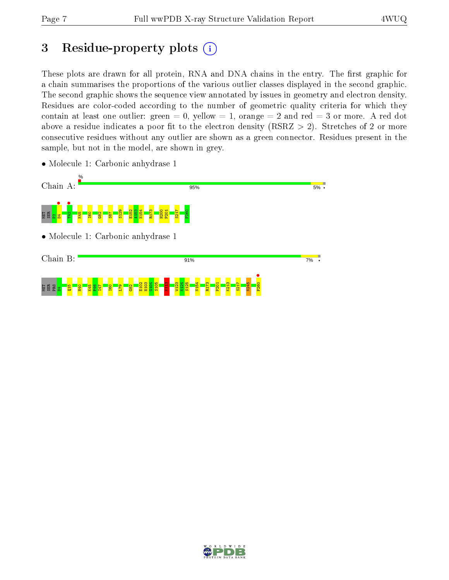# 3 Residue-property plots  $(i)$

These plots are drawn for all protein, RNA and DNA chains in the entry. The first graphic for a chain summarises the proportions of the various outlier classes displayed in the second graphic. The second graphic shows the sequence view annotated by issues in geometry and electron density. Residues are color-coded according to the number of geometric quality criteria for which they contain at least one outlier: green  $= 0$ , yellow  $= 1$ , orange  $= 2$  and red  $= 3$  or more. A red dot above a residue indicates a poor fit to the electron density (RSRZ  $> 2$ ). Stretches of 2 or more consecutive residues without any outlier are shown as a green connector. Residues present in the sample, but not in the model, are shown in grey.



• Molecule 1: Carbonic anhydrase 1

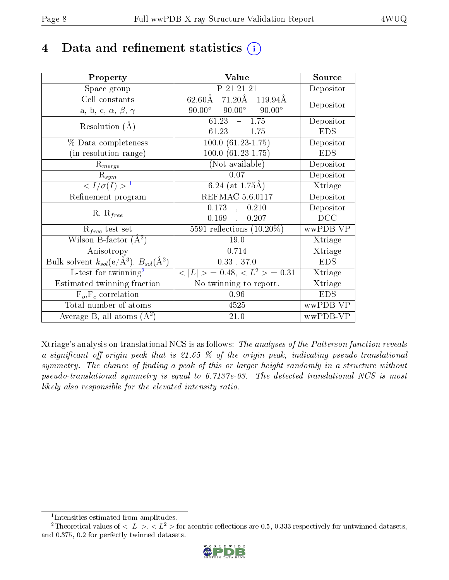## 4 Data and refinement statistics  $(i)$

| Property                                                             | Value                                             | Source                       |
|----------------------------------------------------------------------|---------------------------------------------------|------------------------------|
| Space group                                                          | P 21 21 21                                        | Depositor                    |
| Cell constants                                                       | $62.60\text{\AA}$ 71.20 Å 119.94 Å                | Depositor                    |
| a, b, c, $\alpha$ , $\beta$ , $\gamma$                               | $90.00^\circ$<br>$90.00^\circ$<br>$90.00^{\circ}$ |                              |
| Resolution $(A)$                                                     | 1.75<br>61.23<br>$\frac{1}{2}$                    | Depositor                    |
|                                                                      | 61.23<br>$-1.75$                                  | <b>EDS</b>                   |
| % Data completeness                                                  | $100.0 (61.23 - 1.75)$                            | Depositor                    |
| (in resolution range)                                                | $100.0 (61.23 - 1.75)$                            | <b>EDS</b>                   |
| $R_{merge}$                                                          | (Not available)                                   | Depositor                    |
| $\mathrm{R}_{sym}$                                                   | 0.07                                              | Depositor                    |
| $\langle I/\sigma(I) \rangle^{-1}$                                   | 6.24 (at $1.75\text{\AA}$ )                       | $\overline{\text{X}}$ triage |
| Refinement program                                                   | <b>REFMAC 5.6.0117</b>                            | Depositor                    |
|                                                                      | 0.173<br>0.210<br>$\mathcal{L}$                   | Depositor                    |
| $R, R_{free}$                                                        | $0.169$ ,<br>0.207                                | DCC                          |
| $R_{free}$ test set                                                  | 5591 reflections $(10.20\%)$                      | wwPDB-VP                     |
| Wilson B-factor $(A^2)$                                              | 19.0                                              | Xtriage                      |
| Anisotropy                                                           | 0.714                                             | Xtriage                      |
| Bulk solvent $k_{sol}(e/\mathring{A}^3)$ , $B_{sol}(\mathring{A}^2)$ | 0.33, 37.0                                        | <b>EDS</b>                   |
| $L$ -test for twinning <sup>2</sup>                                  | $< L >$ = 0.48, $< L2$ = 0.31                     | Xtriage                      |
| Estimated twinning fraction                                          | No twinning to report.                            | Xtriage                      |
| $F_o, F_c$ correlation                                               | 0.96                                              | <b>EDS</b>                   |
| Total number of atoms                                                | 4525                                              | wwPDB-VP                     |
| Average B, all atoms $(A^2)$                                         | 21.0                                              | wwPDB-VP                     |

Xtriage's analysis on translational NCS is as follows: The analyses of the Patterson function reveals a significant off-origin peak that is 21.65  $\%$  of the origin peak, indicating pseudo-translational symmetry. The chance of finding a peak of this or larger height randomly in a structure without pseudo-translational symmetry is equal to 6.7137e-03. The detected translational NCS is most likely also responsible for the elevated intensity ratio.

<sup>&</sup>lt;sup>2</sup>Theoretical values of  $\langle |L| \rangle$ ,  $\langle L^2 \rangle$  for acentric reflections are 0.5, 0.333 respectively for untwinned datasets, and 0.375, 0.2 for perfectly twinned datasets.



<span id="page-7-1"></span><span id="page-7-0"></span><sup>1</sup> Intensities estimated from amplitudes.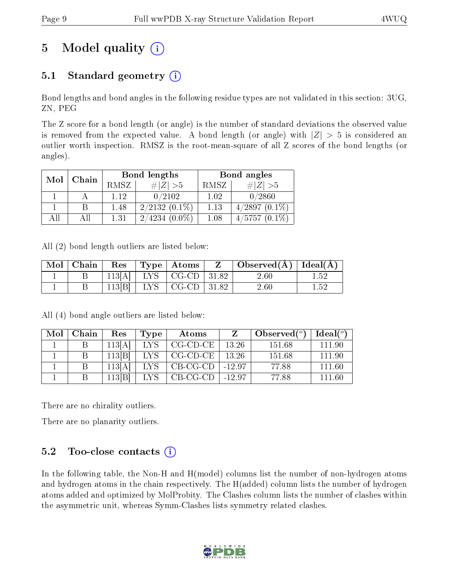# 5 Model quality  $(i)$

### 5.1 Standard geometry  $(i)$

Bond lengths and bond angles in the following residue types are not validated in this section: 3UG, ZN, PEG

The Z score for a bond length (or angle) is the number of standard deviations the observed value is removed from the expected value. A bond length (or angle) with  $|Z| > 5$  is considered an outlier worth inspection. RMSZ is the root-mean-square of all Z scores of the bond lengths (or angles).

| Mol | Chain |      | Bond lengths        | Bond angles |                 |  |
|-----|-------|------|---------------------|-------------|-----------------|--|
|     |       | RMSZ | # Z  > 5            | RMSZ        | $\# Z >5$       |  |
|     |       | 1.12 | 0/2102              | 1.02        | 0/2860          |  |
|     |       | 1.48 | $2/2132(0.1\%)$     | 1.13        | $4/2897(0.1\%)$ |  |
| All |       | 1.31 | $(0.0\%)$<br>2/4234 | 1.08        | $4/5757(0.1\%)$ |  |

All (2) bond length outliers are listed below:

| $\text{Mol} \parallel$ | Chain | Res    |                   | $Type  $ Atoms              | Z | Observed( $\AA$ )   Ideal( $\AA$ ) |          |
|------------------------|-------|--------|-------------------|-----------------------------|---|------------------------------------|----------|
|                        |       | 113[A] |                   | $LYS$   CG-CD   31.82       |   | 2.60                               | 1.52     |
|                        |       | 113 B  | $_{\mathrm{LYS}}$ | $\vert$ CG-CD $\vert$ 31.82 |   | 2.60                               | $1.52\,$ |

All (4) bond angle outliers are listed below:

| Mol | Chain | Res    | Type | Atoms              |             | Observed $(°)$ | Ideal $(^\circ)$ |
|-----|-------|--------|------|--------------------|-------------|----------------|------------------|
|     |       | 113[A] | LYS. | $CG$ - $CD$ - $CE$ | 13.26       | -151.68        | 111 90           |
|     | B     | 113[B] | LYS. | CG-CD-CE           | 13.26       | 151.68         | 111 90           |
|     |       | 113 A  | LYS. | CB-CG-CD           | $-12.97$    | 77.88          | 111.60           |
|     |       | 113[B] | LVS  | CB-CG-CD           | $1 - 12.97$ | 77.88          | 111.60           |

There are no chirality outliers.

There are no planarity outliers.

### 5.2 Too-close contacts  $(i)$

In the following table, the Non-H and H(model) columns list the number of non-hydrogen atoms and hydrogen atoms in the chain respectively. The H(added) column lists the number of hydrogen atoms added and optimized by MolProbity. The Clashes column lists the number of clashes within the asymmetric unit, whereas Symm-Clashes lists symmetry related clashes.

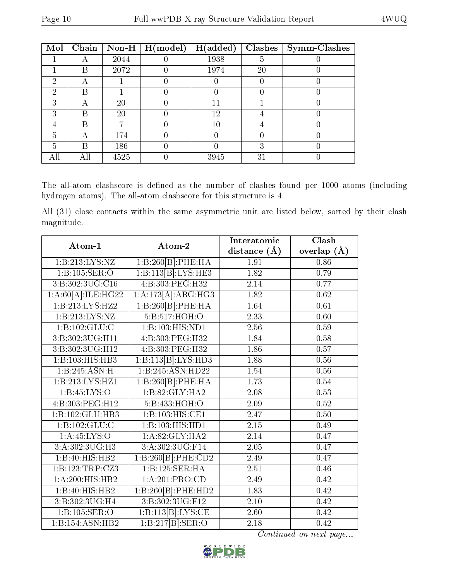| Mol |     |      | $\boxed{\text{Chain}}$   Non-H   H(model) | H(added) | Clashes | Symm-Clashes |
|-----|-----|------|-------------------------------------------|----------|---------|--------------|
|     |     | 2044 |                                           | 1938     |         |              |
|     | В   | 2072 |                                           | 1974     | 20      |              |
| 2   | А   |      |                                           |          |         |              |
| 2   | В   |      |                                           |          |         |              |
| 3   | А   | 20   |                                           | 11       |         |              |
| З   | В   | 20   |                                           | 12       |         |              |
| 4   | В   |      |                                           | 10       |         |              |
| 5   |     | 174  |                                           |          |         |              |
| 5   | R   | 186  |                                           |          | 3       |              |
| All | Αll | 4525 |                                           | 3945     | 31      |              |

The all-atom clashscore is defined as the number of clashes found per 1000 atoms (including hydrogen atoms). The all-atom clashscore for this structure is 4.

All (31) close contacts within the same asymmetric unit are listed below, sorted by their clash magnitude.

| Atom-1                      | Atom-2                            | Interatomic       | Clash         |
|-----------------------------|-----------------------------------|-------------------|---------------|
|                             |                                   | distance $(\AA)$  | overlap $(A)$ |
| 1: B: 213: LYS: NZ          | 1:B:260[B]:PHE:HA                 | 1.91              | 0.86          |
| 1:B:105:SER:O               | 1:B:113[B]:LYS:HE3                | 1.82              | 0.79          |
| 3:B:302:3UG:C16             | 4:B:303:PEG:H32                   | 2.14              | 0.77          |
| 1:A:60[A]:ILE:HG22          | 1:A:173[A]:ARG:HG3                | 1.82              | 0.62          |
| 1:B:213:LYS:HZ2             | 1:B:260[B]:PHE:HA                 | 1.64              | $0.61\,$      |
| 1: B: 213: LYS: NZ          | 5:Bi:517:HOH:O                    | 2.33              | 0.60          |
| 1:B:102:GLU:C               | 1:B:103:HIS:ND1                   | 2.56              | 0.59          |
| 3:B:302:3UG:H11             | 4:B:303:PEG:H32                   | 1.84              | 0.58          |
| 3:B:302:3UG:H12             | 4:B:303:PEG:H32                   | 1.86              | 0.57          |
| 1:B:103:HIS:HB3             | 1:B:113[B]:LYS:HD3                | 1.88              | $0.56\,$      |
| 1:B:245:ASN:H               | 1:B:245:ASN:HD22                  | 1.54              | 0.56          |
| 1:B:213:LYS:HZ1             | 1:B:260[B]:PHE:HA                 | 1.73              | 0.54          |
| 1: B: 45: LYS: O            | 1: B:82: GLY:HA2                  | 2.08              | 0.53          |
| 4:B:303:PEG:H12             | 5:B:433:HOH:O                     | 2.09              | $0.52\,$      |
| 1:B:102:GLU:HB3             | 1:B:103:HIS:CE1                   | 2.47              | $0.50\,$      |
| 1:B:102:GLU:C               | 1:B:103:HIS:HDI                   | 2.15              | 0.49          |
| 1: A:45: LYS:O              | 1:A:82:GLY:HA2                    | 2.14              | 0.47          |
| 3:A:302:3UG:H3              | 3:A:302:3UG:F14                   | $\overline{2.05}$ | 0.47          |
| $1:B:40:HIS:H\overline{B2}$ | 1:B:260[B]:PHE:CD2                | 2.49              | 0.47          |
| 1:B:123:TRP:CZ3             | 1:B:125:SER:HA                    | 2.51              | 0.46          |
| 1:A:200:HIS:HB2             | 1:A:201:PRO:CD                    | 2.49              | 0.42          |
| $1:B:40:HIS:H\overline{B2}$ | 1:B:260[B]:PHE:HD2                | 1.83              | 0.42          |
| 3:B:302:3UG:H4              | $3: B:302:3\overline{U}G$ :F12    | 2.10              | 0.42          |
| 1:B:105:SER:O               | 1:B:113[B]:LYS:CE                 | 2.60              | 0.42          |
| 1:B:154:ASN:HB2             | 1:B:217[B]: <b>SER</b> : <b>O</b> | 2.18              | 0.42          |

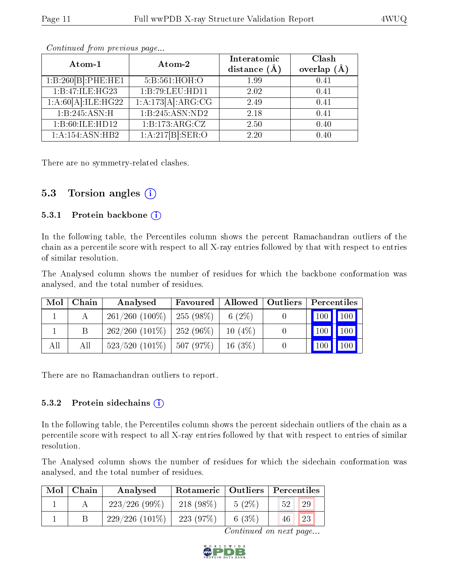| Atom-1             | Atom-2            | Interatomic    | Clash         |
|--------------------|-------------------|----------------|---------------|
|                    |                   | distance $(A)$ | overlap $(A)$ |
| 1:B:260[B]:PHE:HE1 | 5:B:561:HOH:O     | 1.99           | 0.41          |
| 1:B:47:ILE:HG23    | 1:B:79:LEU:HD11   | 2.02           | 0.41          |
| 1:A:60[A]:ILE:HG22 | 1:A:173[A]:ARG:CG | 2.49           | 0.41          |
| 1:B:245:ASN:H      | 1:B:245:ASN:ND2   | 2.18           | 0.41          |
| 1:B:60:ILE:HD12    | 1:B:173:ARG:CZ    | 2.50           | 0.40          |
| 1:A:154:ASN:HB2    | 1:A:217[B]:SER:O  | 2.20           | 0.40          |

Continued from previous page...

There are no symmetry-related clashes.

#### 5.3 Torsion angles  $(i)$

#### 5.3.1 Protein backbone  $(i)$

In the following table, the Percentiles column shows the percent Ramachandran outliers of the chain as a percentile score with respect to all X-ray entries followed by that with respect to entries of similar resolution.

The Analysed column shows the number of residues for which the backbone conformation was analysed, and the total number of residues.

| Mol | Chain | Analysed                                  | Favoured   Allowed   Outliers |           | Percentiles                     |  |
|-----|-------|-------------------------------------------|-------------------------------|-----------|---------------------------------|--|
|     |       | $261/260$ (100\%)                         | 255(98%)                      | 6 $(2\%)$ | 100 100                         |  |
|     |       | $262/260$ (101\%)                         | $\pm 252(96\%)$               | $10(4\%)$ | $\vert$ 100 $\vert$ 100 $\vert$ |  |
| All | Αll   | $523/520$ (101\%)   507 (97\%)   16 (3\%) |                               |           | $\mid$ 100 $\mid$ 100 $\mid$    |  |

There are no Ramachandran outliers to report.

#### 5.3.2 Protein sidechains  $(i)$

In the following table, the Percentiles column shows the percent sidechain outliers of the chain as a percentile score with respect to all X-ray entries followed by that with respect to entries of similar resolution.

The Analysed column shows the number of residues for which the sidechain conformation was analysed, and the total number of residues.

| Mol | Chain | Analysed         | Rotameric   Outliers   Percentiles |          |          |  |
|-----|-------|------------------|------------------------------------|----------|----------|--|
|     |       | 223/226(99%)     | $218(98\%)$                        | $5(2\%)$ | 29<br>52 |  |
|     |       | $229/226(101\%)$ | 223(97%)                           | 6 $(3%)$ | 23<br>46 |  |

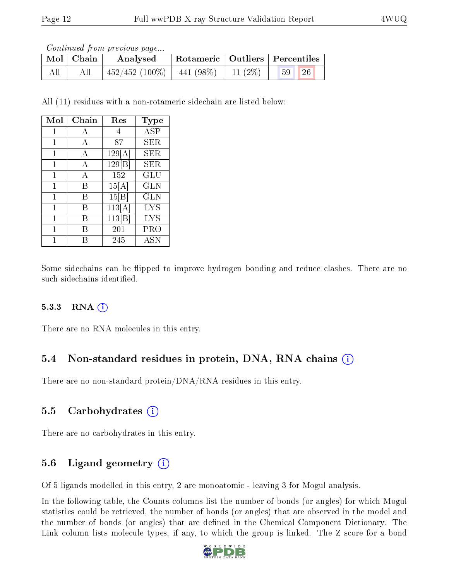Continued from previous page...

|     | $\mid$ Mol $\mid$ Chain | Analysed          |              |            | Rotameric   Outliers   Percentiles |  |
|-----|-------------------------|-------------------|--------------|------------|------------------------------------|--|
| All | All                     | $-452/452(100\%)$ | $441 (98\%)$ | 11 $(2\%)$ | 26<br>59 <sup>°</sup>              |  |

All (11) residues with a non-rotameric sidechain are listed below:

| Mol | Chain | Res    | Type       |
|-----|-------|--------|------------|
| 1   | А     | 4      | <b>ASP</b> |
| 1   | А     | 87     | SER        |
| 1   | А     | 129[A] | SER        |
| 1   | А     | 129 B  | SER        |
| 1   | А     | 152    | GLU        |
| 1   | В     | 15[A]  | GLN        |
| 1   | B     | 15 B   | GLN        |
| 1   | В     | 113[A] | LYS        |
| 1   | R     | 113 B  | <b>LYS</b> |
| 1   | R     | 201    | PRO        |
|     |       | 245    | ASN        |

Some sidechains can be flipped to improve hydrogen bonding and reduce clashes. There are no such sidechains identified.

#### 5.3.3 RNA  $(i)$

There are no RNA molecules in this entry.

### 5.4 Non-standard residues in protein, DNA, RNA chains  $(i)$

There are no non-standard protein/DNA/RNA residues in this entry.

#### 5.5 Carbohydrates  $(i)$

There are no carbohydrates in this entry.

### 5.6 Ligand geometry  $(i)$

Of 5 ligands modelled in this entry, 2 are monoatomic - leaving 3 for Mogul analysis.

In the following table, the Counts columns list the number of bonds (or angles) for which Mogul statistics could be retrieved, the number of bonds (or angles) that are observed in the model and the number of bonds (or angles) that are defined in the Chemical Component Dictionary. The Link column lists molecule types, if any, to which the group is linked. The Z score for a bond

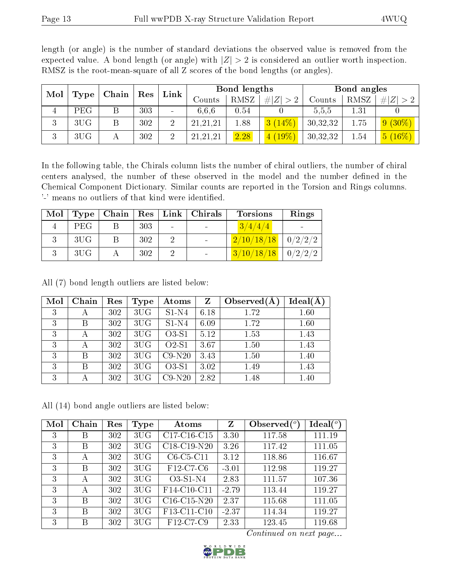| Mol<br>Type |            |   |     | Chain          |            |             |             |          |      |                |  |  |  | $\operatorname{Res}$ | Link |  | Bond lengths |  |  | Bond angles |  |
|-------------|------------|---|-----|----------------|------------|-------------|-------------|----------|------|----------------|--|--|--|----------------------|------|--|--------------|--|--|-------------|--|
|             |            |   |     |                | Counts     | <b>RMSZ</b> | # $ Z  > 2$ | Counts   | RMSZ | # $ Z  > 2$    |  |  |  |                      |      |  |              |  |  |             |  |
| 4           | <b>PEG</b> | В | 303 |                | 6.6.6      | 0.54        |             | 5,5,5    | 1.31 |                |  |  |  |                      |      |  |              |  |  |             |  |
| 3           | 3UG        |   | 302 | $\overline{2}$ | 21,21,21   | 1.88        | 3(14%)      | 30,32,32 | 1.75 | $9(30\%)$      |  |  |  |                      |      |  |              |  |  |             |  |
| 3           | 3UG        |   | 302 | 2              | 21, 21, 21 | 2.28        | $4(19\%)$   | 30,32,32 | 1.54 | $(16\%)$<br>5( |  |  |  |                      |      |  |              |  |  |             |  |

length (or angle) is the number of standard deviations the observed value is removed from the expected value. A bond length (or angle) with  $|Z| > 2$  is considered an outlier worth inspection. RMSZ is the root-mean-square of all Z scores of the bond lengths (or angles).

In the following table, the Chirals column lists the number of chiral outliers, the number of chiral centers analysed, the number of these observed in the model and the number defined in the Chemical Component Dictionary. Similar counts are reported in the Torsion and Rings columns. '-' means no outliers of that kind were identified.

| Mol |            |     |        | Type   Chain   Res   Link   Christmas | <b>Torsions</b> | Rings          |
|-----|------------|-----|--------|---------------------------------------|-----------------|----------------|
|     | <b>PEG</b> | 303 | $\sim$ |                                       | 3/4/4/4         |                |
|     | 3UG        | 302 |        |                                       | 2/10/18/18      | 0/2/2/2        |
|     | 3UG        | 302 |        |                                       | 3/10/18/18      | $\mid 0/2/2/2$ |

All (7) bond length outliers are listed below:

| Mol | Chain | Res | <b>Type</b> | Atoms    | Z    | Observed $(A$ | Ideal(A) |
|-----|-------|-----|-------------|----------|------|---------------|----------|
| 3   |       | 302 | 3UG         | $S1-N4$  | 6.18 | 1.72          | 1.60     |
| 3   | В     | 302 | 3UG         | $S1-N4$  | 6.09 | 1.72          | 1.60     |
| 3   |       | 302 | 3UG         | O3-S1    | 5.12 | 1.53          | 1.43     |
| 3   |       | 302 | 3UG         | $O2-S1$  | 3.67 | 1.50          | 1.43     |
| 3   | R     | 302 | 3UG         | $C9-N20$ | 3.43 | 1.50          | 1.40     |
| 3   | R     | 302 | 3UG         | $O3-S1$  | 3.02 | 1.49          | 1.43     |
| 3   |       | 302 | 3UG         | $C9-N20$ | 2.82 | 1.48          | 1.40     |

All (14) bond angle outliers are listed below:

| Mol | Chain | Res | <b>Type</b> | Atoms         | Z       | Observed $(°)$ | $\text{Ideal}({}^o)$ |
|-----|-------|-----|-------------|---------------|---------|----------------|----------------------|
| 3   | B     | 302 | 3UG         | $C17-C16-C15$ | 3.30    | 117.58         | 111.19               |
| 3   | B     | 302 | 3UG         | $C18-C19-N20$ | 3.26    | 117.42         | 111.05               |
| 3   | А     | 302 | 3UG         | $C6-C5-C11$   | 3.12    | 118.86         | 116.67               |
| 3   | B     | 302 | 3UG         | F12-C7-C6     | $-3.01$ | 112.98         | 119.27               |
| 3   | А     | 302 | 3UG         | $O3-S1-N4$    | 2.83    | 111.57         | 107.36               |
| 3   | А     | 302 | 3UG         | F14-C10-C11   | $-2.79$ | 113.44         | 119.27               |
| 3   | B     | 302 | 3UG         | $C16-C15-N20$ | 2.37    | 115.68         | 111.05               |
| 3   | B     | 302 | 3UG         | F13-C11-C10   | $-2.37$ | 114.34         | 119.27               |
| 3   | B     | 302 | 3UG         | F12-C7-C9     | 2.33    | 123.45         | 119.68               |

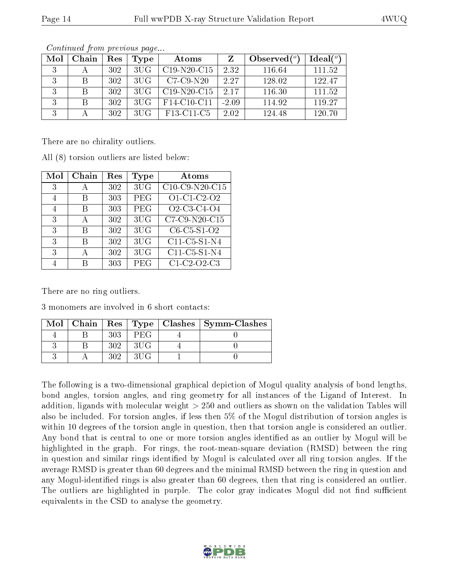| Mol | Chain | Res | Type | Atoms                                            |         | Observed $(°)$ | Ideal $(°)$ |
|-----|-------|-----|------|--------------------------------------------------|---------|----------------|-------------|
|     |       | 302 | 3UG  | $C19-N20-C15$                                    | 2.32    | 116.64         | 111.52      |
| 2   |       | 302 | 3UG  | $C7-C9-N20$                                      | 2.27    | 128.02         | 122.47      |
| २   |       | 302 | 3UG  | $C19-N20-C15$                                    | 2.17    | 116.30         | 111.52      |
| २   |       | 302 | 3UG  | F14-C10-C11                                      | $-2.09$ | 114.92         | 119.27      |
| 2   |       | 302 | 3UG  | F <sub>13</sub> -C <sub>11</sub> -C <sub>5</sub> | 2.02    | 124.48         | 120.70      |

Continued from previous page...

There are no chirality outliers.

All (8) torsion outliers are listed below:

| Mol | Chain        | Res | Type       | Atoms          |
|-----|--------------|-----|------------|----------------|
| 3   |              | 302 | 3UG        | C10-C9-N20-C15 |
| 4   | R            | 303 | PEG        | O1-C1-C2-O2    |
| 4   | R            | 303 | PEG        | O2-C3-C4-O4    |
| 3   | $\mathbf{A}$ | 302 | 3UG        | C7-C9-N20-C15  |
| 3   | R            | 302 | 3UG        | $C6-C5-S1-O2$  |
| 3   | R            | 302 | 3UG        | C11-C5-S1-N4   |
| 3   | А            | 302 | 3UG        | C11-C5-S1-N4   |
|     |              | 303 | <b>PEG</b> | C1-C2-O2-C3    |

There are no ring outliers.

3 monomers are involved in 6 short contacts:

|  |     |     | Mol   Chain   Res   Type   Clashes   Symm-Clashes |
|--|-----|-----|---------------------------------------------------|
|  | 303 | PEG |                                                   |
|  | 302 | 3HG |                                                   |
|  | १०१ | 3HG |                                                   |

The following is a two-dimensional graphical depiction of Mogul quality analysis of bond lengths, bond angles, torsion angles, and ring geometry for all instances of the Ligand of Interest. In addition, ligands with molecular weight > 250 and outliers as shown on the validation Tables will also be included. For torsion angles, if less then 5% of the Mogul distribution of torsion angles is within 10 degrees of the torsion angle in question, then that torsion angle is considered an outlier. Any bond that is central to one or more torsion angles identified as an outlier by Mogul will be highlighted in the graph. For rings, the root-mean-square deviation (RMSD) between the ring in question and similar rings identified by Mogul is calculated over all ring torsion angles. If the average RMSD is greater than 60 degrees and the minimal RMSD between the ring in question and any Mogul-identified rings is also greater than 60 degrees, then that ring is considered an outlier. The outliers are highlighted in purple. The color gray indicates Mogul did not find sufficient equivalents in the CSD to analyse the geometry.

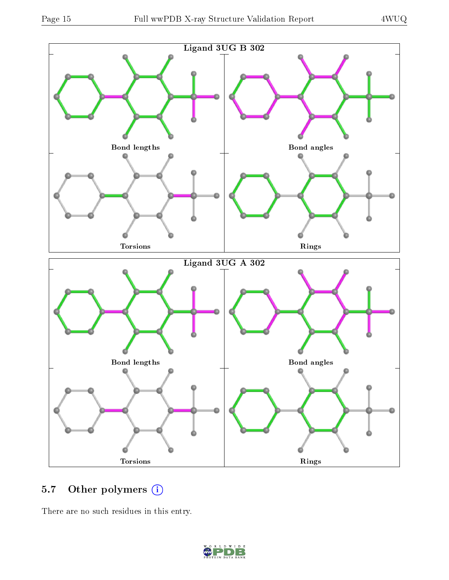

## 5.7 [O](https://www.wwpdb.org/validation/2017/XrayValidationReportHelp#nonstandard_residues_and_ligands)ther polymers (i)

There are no such residues in this entry.

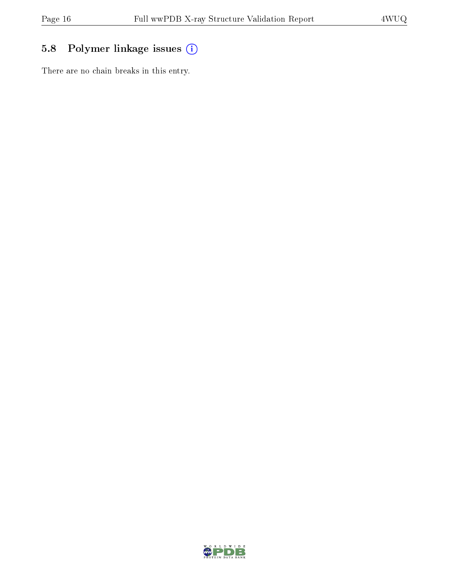## 5.8 Polymer linkage issues (i)

There are no chain breaks in this entry.

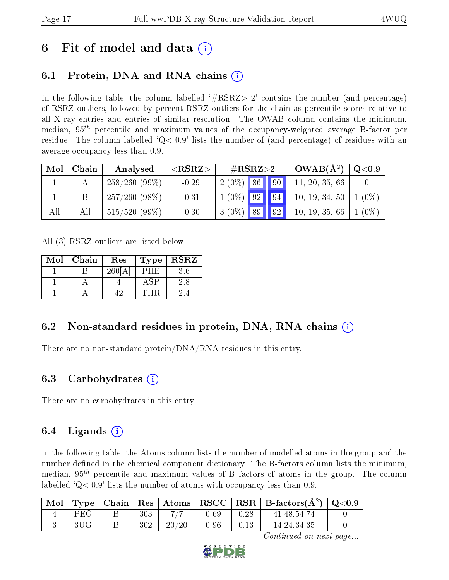## 6 Fit of model and data  $\left( \cdot \right)$

### 6.1 Protein, DNA and RNA chains (i)

In the following table, the column labelled  $#RSRZ>2'$  contains the number (and percentage) of RSRZ outliers, followed by percent RSRZ outliers for the chain as percentile scores relative to all X-ray entries and entries of similar resolution. The OWAB column contains the minimum, median,  $95<sup>th</sup>$  percentile and maximum values of the occupancy-weighted average B-factor per residue. The column labelled  $Q < 0.9$  lists the number of (and percentage) of residues with an average occupancy less than 0.9.

| Mol | Chain | Analysed        | ${ <\hspace{-1.5pt}{\mathrm{RSRZ}} \hspace{-1.5pt}>}$ | $\rm \#RSRZ{>}2$ |  | $\overline{\text{OWAB(A^2)}}$ | Q <sub>0.9</sub> |         |
|-----|-------|-----------------|-------------------------------------------------------|------------------|--|-------------------------------|------------------|---------|
|     |       | $258/260(99\%)$ | $-0.29$                                               | $2(0\%)$ 86 90   |  |                               | 11, 20, 35, 66   |         |
|     |       | $257/260(98\%)$ | $-0.31$                                               | $1(0\%)$ 92 94   |  |                               | 10, 19, 34, 50   | $(0\%)$ |
| All | All   | $515/520(99\%)$ | $-0.30$                                               | $3(0\%)$ 89 9 9  |  |                               | 10, 19, 35, 66   | $(0\%)$ |

All (3) RSRZ outliers are listed below:

| $\operatorname{Mol}$ | Chain | Res  | Type | <b>RSRZ</b> |
|----------------------|-------|------|------|-------------|
|                      |       | 2601 |      |             |
|                      |       |      |      |             |
|                      |       |      |      |             |

### 6.2 Non-standard residues in protein, DNA, RNA chains (i)

There are no non-standard protein/DNA/RNA residues in this entry.

### 6.3 Carbohydrates (i)

There are no carbohydrates in this entry.

### 6.4 Ligands  $(i)$

In the following table, the Atoms column lists the number of modelled atoms in the group and the number defined in the chemical component dictionary. The B-factors column lists the minimum, median,  $95<sup>th</sup>$  percentile and maximum values of B factors of atoms in the group. The column labelled  $Q< 0.9$  lists the number of atoms with occupancy less than 0.9.

| Mol |     |     |       |      |      | Type   Chain   Res   Atoms   RSCC   RSR   B-factors $(\AA^2)$   Q<0.9 |  |
|-----|-----|-----|-------|------|------|-----------------------------------------------------------------------|--|
|     | PEG | 303 | 717   | 0.69 | 0.28 | 41, 48, 54, 74                                                        |  |
|     |     | 302 | 20/20 | 0.96 | 0.13 | 14, 24, 34, 35                                                        |  |

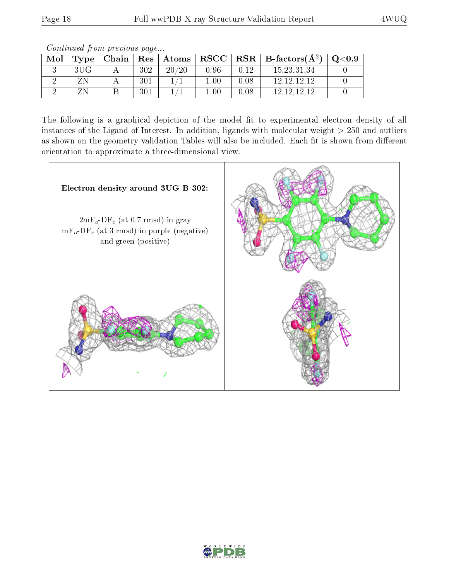Continued from previous page...

| Mol | Type   Chain |     | $\mid$ $\mathrm{Res}\mid$ $\mathrm{Atoms}\mid$ |          |      | $\vert$ RSCC $\vert$ RSR $\vert$ B-factors( $\rm \AA^2)$ | Q <sub>0.9</sub> |
|-----|--------------|-----|------------------------------------------------|----------|------|----------------------------------------------------------|------------------|
|     |              | 302 | 20/20                                          | 0.96     | 0.12 | 15.23,31.34                                              |                  |
|     |              | 301 |                                                | .00      | 0.08 | 12, 12, 12, 12                                           |                  |
|     |              | 301 |                                                | $1.00\,$ | 0.08 | - 12.12.12.12                                            |                  |

The following is a graphical depiction of the model fit to experimental electron density of all instances of the Ligand of Interest. In addition, ligands with molecular weight  $> 250$  and outliers as shown on the geometry validation Tables will also be included. Each fit is shown from different orientation to approximate a three-dimensional view.